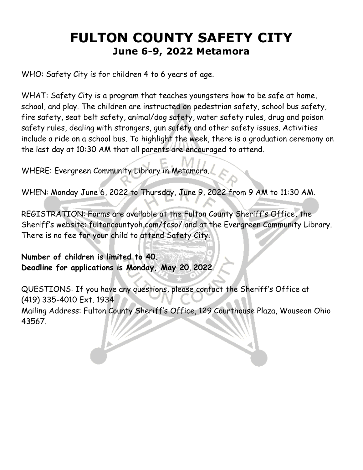# **FULTON COUNTY SAFETY CITY June 6-9, 2022 Metamora**

WHO: Safety City is for children 4 to 6 years of age.

WHAT: Safety City is a program that teaches youngsters how to be safe at home, school, and play. The children are instructed on pedestrian safety, school bus safety, fire safety, seat belt safety, animal/dog safety, water safety rules, drug and poison safety rules, dealing with strangers, gun safety and other safety issues. Activities include a ride on a school bus. To highlight the week, there is a graduation ceremony on the last day at 10:30 AM that all parents are encouraged to attend.

WHERE: Evergreen Community Library in Metamora.

WHEN: Monday June 6, 2022 to Thursday, June 9, 2022 from 9 AM to 11:30 AM.

REGISTRATION: Forms are available at the Fulton County Sheriff's Office, the Sheriff's website: fultoncountyoh.com/fcso/ and at the Evergreen Community Library. There is no fee for your child to attend Safety City.

**Number of children is limited to 40. Deadline for applications is Monday, May 20**, **2022**.

QUESTIONS: If you have any questions, please contact the Sheriff's Office at (419) 335-4010 Ext. 1934 Mailing Address: Fulton County Sheriff's Office, 129 Courthouse Plaza, Wauseon Ohio 43567.